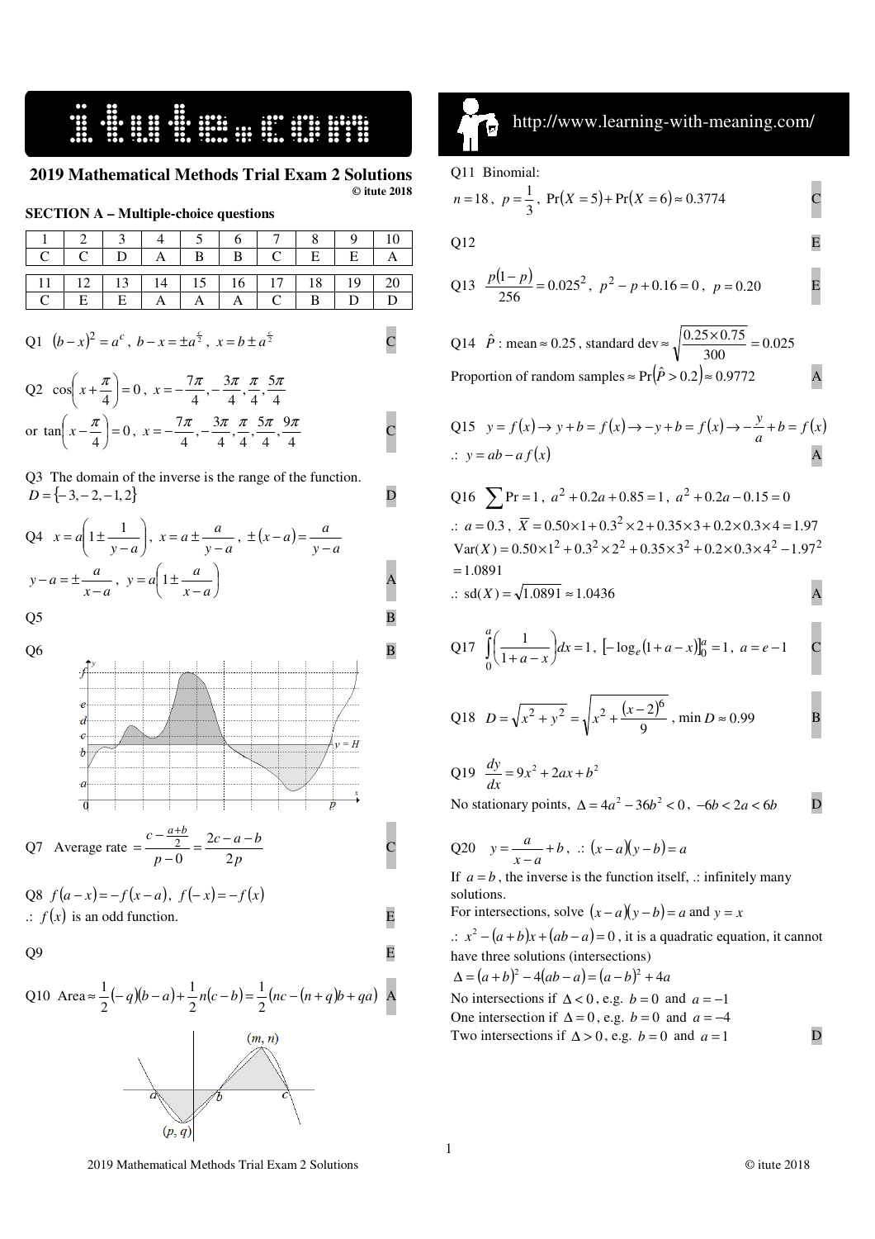## 16. START START OF STREET

**2019 Mathematical Methods Trial Exam 2 Solutions © itute 2018** 

|  |  | <b>SECTION A – Multiple-choice questions</b> |  |
|--|--|----------------------------------------------|--|
|--|--|----------------------------------------------|--|

|                                                 | $12$ 3 4 5 6 7 8 |            |              |            |  |  |
|-------------------------------------------------|------------------|------------|--------------|------------|--|--|
|                                                 |                  |            |              |            |  |  |
| 11   12   13   14   15   16   17   18   19   20 |                  |            |              |            |  |  |
|                                                 | E                | $E \mid A$ | $\mathbf{A}$ | $A \mid C$ |  |  |

Q1 
$$
(b-x)^2 = a^c
$$
,  $b-x = \pm a^{\frac{c}{2}}$ ,  $x = b \pm a^{\frac{c}{2}}$  C

Q2  $\cos\left(x+\frac{\pi}{4}\right)=0$  $\left(x+\frac{\pi}{\cdot}\right)$ l  $\left(x+\frac{\pi}{4}\right)=0$ ,  $x=-\frac{7\pi}{4},-\frac{3\pi}{4},\frac{\pi}{4},\frac{5\pi}{4}$  $\frac{3\pi}{4}, \frac{\pi}{4}, \frac{5\pi}{4}$  $\frac{7\pi}{4}, -\frac{3\pi}{4}$  $x=-\frac{7\pi}{4},-\frac{3\pi}{4},\frac{\pi}{4},\frac{5\pi}{4}$ or  $\tan\left(x - \frac{\pi}{4}\right) = 0$  $\left(x-\frac{\pi}{\cdot}\right)$ l  $\left(x-\frac{\pi}{4}\right)=0, \ x=-\frac{7\pi}{4}, -\frac{3\pi}{4}, \frac{\pi}{4}, \frac{5\pi}{4}, \frac{9\pi}{4}$  $\frac{5\pi}{4}, \frac{9\pi}{4}$  $\frac{3\pi}{4}, \frac{\pi}{4}, \frac{5}{4}$  $\frac{7\pi}{4}, -\frac{3\pi}{4}$  $x = -\frac{7\pi}{4}, -\frac{3\pi}{4}, \frac{\pi}{4}, \frac{5\pi}{4}, \frac{9\pi}{4}$ 

Q3 The domain of the inverse is the range of the function.  

$$
D = \{-3, -2, -1, 2\}
$$

Q4 
$$
x = a\left(1 \pm \frac{1}{y-a}\right), x = a \pm \frac{a}{y-a}, \pm (x-a) = \frac{a}{y-a}
$$
  
 $y-a = \pm \frac{a}{x-a}, y = a\left(1 \pm \frac{a}{x-a}\right)$ 

Q6  
\n
$$
\frac{p}{e}
$$
\n
$$
\frac{d}{e}
$$
\n
$$
\frac{p}{e}
$$
\n
$$
\frac{p}{e}
$$
\n
$$
\frac{p}{e}
$$
\n
$$
\frac{p}{p}
$$
\n
$$
\frac{p}{p}
$$
\nQ7 Average rate = 
$$
\frac{c - \frac{a+b}{2}}{p - 0} = \frac{2c - a - b}{2p}
$$

Q8 
$$
f(a-x) = -f(x-a)
$$
,  $f(-x) = -f(x)$   
\n $\therefore f(x)$  is an odd function.

Q9 E

Q10 Area 
$$
\approx \frac{1}{2}(-q)(b-a)+\frac{1}{2}n(c-b)=\frac{1}{2}(nc-(n+q)b+qa)
$$
 A



### ای ֠

http://www.learning-with-meaning.com/

#### Q11 Binomial:

 $\overline{a}$ 

$$
n = 18
$$
,  $p = \frac{1}{3}$ ,  $Pr(X = 5) + Pr(X = 6) \approx 0.3774$ 

Q12 E

Q13 
$$
\frac{p(1-p)}{256} = 0.025^2
$$
,  $p^2 - p + 0.16 = 0$ ,  $p = 0.20$  E

Q14  $\hat{P}$ : mean  $\approx 0.25$ , standard dev  $\approx \sqrt{\frac{0.25 \times 0.75}{300}} = 0.025$  $\approx \sqrt{\frac{0.25 \times 0.75}{200}}$ Proportion of random samples  $\approx Pr(\hat{P} > 0.2) \approx 0.9772$  A

Q15 
$$
y = f(x) \rightarrow y + b = f(x) \rightarrow -y + b = f(x) \rightarrow -\frac{y}{a} + b = f(x)
$$
  
\n $\therefore y = ab - af(x)$ 

Q16 
$$
\sum
$$
 Pr = 1,  $a^2 + 0.2a + 0.85 = 1$ ,  $a^2 + 0.2a - 0.15 = 0$   
\n $\therefore a = 0.3$ ,  $\overline{X} = 0.50 \times 1 + 0.3^2 \times 2 + 0.35 \times 3 + 0.2 \times 0.3 \times 4 = 1.97$   
\nVar(X) =  $0.50 \times 1^2 + 0.3^2 \times 2^2 + 0.35 \times 3^2 + 0.2 \times 0.3 \times 4^2 - 1.97^2$   
\n= 1.0891

$$
∴ sd(X) = √1.0891 ≈ 1.0436
$$
 A

Q17 
$$
\int_{0}^{a} \left(\frac{1}{1+a-x}\right) dx = 1, \left[-\log_e(1+a-x)\right]_0^a = 1, \ a = e-1
$$
 C

Q18 
$$
D = \sqrt{x^2 + y^2} = \sqrt{x^2 + \frac{(x-2)^6}{9}}
$$
, min  $D \approx 0.99$ 

Q19 
$$
\frac{dy}{dx} = 9x^2 + 2ax + b^2
$$

No stationary points,  $\Delta = 4a^2 - 36b^2 < 0$ ,  $-6b < 2a < 6b$  D

Q20 
$$
y = \frac{a}{x-a} + b
$$
,  $\therefore (x-a)(y-b) = a$ 

If  $a = b$ , the inverse is the function itself, .: infinitely many solutions.

For intersections, solve  $(x - a)(y - b) = a$  and  $y = x$ 

.:  $x^2 - (a+b)x + (ab-a) = 0$ , it is a quadratic equation, it cannot have three solutions (intersections)

 $\Delta = (a+b)^2 - 4(ab-a) = (a-b)^2 + 4a$ No intersections if  $\Delta < 0$ , e.g. *b* = 0 and *a* = −1

One intersection if  $\Delta = 0$ , e.g. *b* = 0 and *a* = −4 Two intersections if  $\Delta > 0$ , e.g. *b* = 0 and *a* = 1 D

2019 Mathematical Methods Trial Exam 2 Solutions © itute 2018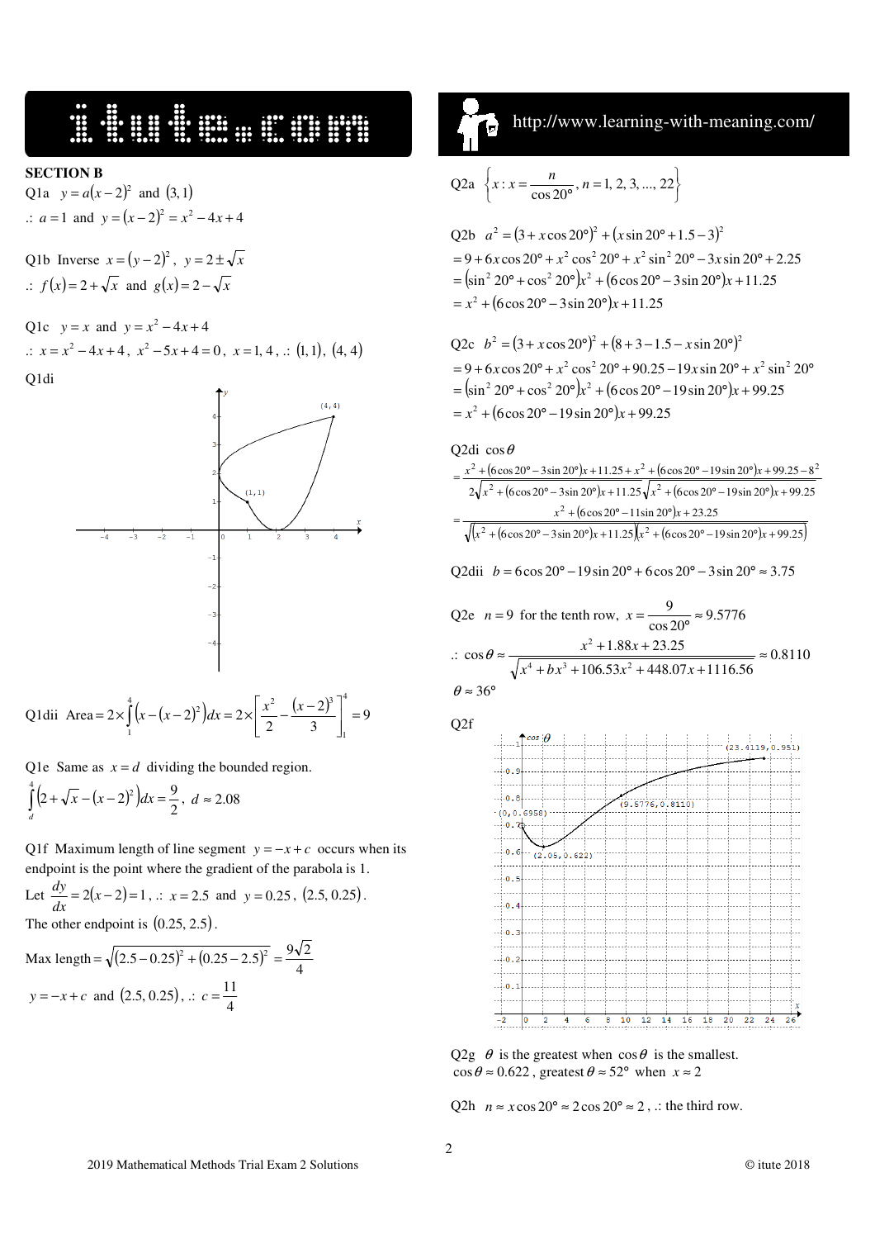# E U U U U U U U U U U U U U U

#### **SECTION B**

Q1a  $y = a(x-2)^2$  and (3, 1)  $\therefore$  a = 1 and  $y = (x - 2)^2 = x^2 - 4x + 4$ 

Q1b Inverse  $x = (y-2)^2$ ,  $y = 2 \pm \sqrt{x}$  $\therefore$   $f(x)=2+\sqrt{x}$  and  $g(x)=2-\sqrt{x}$ 

Q1c  $y = x$  and  $y = x^2 - 4x + 4$ 

$$
\therefore x = x^2 - 4x + 4, x^2 - 5x + 4 = 0, x = 1, 4, \therefore (1, 1), (4, 4)
$$

Q1di



Q1dii Area = 
$$
2 \times \int_{1}^{4} (x - (x - 2)^2) dx = 2 \times \left[ \frac{x^2}{2} - \frac{(x - 2)^3}{3} \right]_{1}^{4} = 9
$$

Q1e Same as  $x = d$  dividing the bounded region.

$$
\int_{d}^{4} \left(2 + \sqrt{x} - (x - 2)^2\right) dx = \frac{9}{2}, \ d \approx 2.08
$$

Q1f Maximum length of line segment  $y = -x + c$  occurs when its endpoint is the point where the gradient of the parabola is 1.

Let  $\frac{dy}{dx} = 2(x-2) = 1$ ,  $\therefore$   $x = 2.5$  and  $y = 0.25$ ,  $(2.5, 0.25)$ . The other endpoint is  $(0.25, 2.5)$ . Max length =  $\sqrt{(2.5 - 0.25)^2 + (0.25 - 2.5)^2} = \frac{9\sqrt{2}}{4}$ 

$$
y = -x + c
$$
 and (2.5, 0.25),  $\therefore c = \frac{11}{4}$ 

## http://www.learning-with-meaning.com/

$$
Q2a \left\{ x : x = \frac{n}{\cos 20^{\circ}}, n = 1, 2, 3, ..., 22 \right\}
$$

$$
Q2b \ a^{2} = (3 + x \cos 20^{\circ})^{2} + (x \sin 20^{\circ} + 1.5 - 3)^{2}
$$
  
= 9 + 6x cos 20° + x<sup>2</sup> cos<sup>2</sup> 20° + x<sup>2</sup> sin<sup>2</sup> 20° - 3x sin 20° + 2.25  
= (sin<sup>2</sup> 20° + cos<sup>2</sup> 20°) $x^{2}$  + (6 cos 20° - 3 sin 20°) $x$  + 11.25  
= x<sup>2</sup> + (6 cos 20° - 3 sin 20°) $x$  + 11.25

Q2c 
$$
b^2 = (3 + x \cos 20^\circ)^2 + (8 + 3 - 1.5 - x \sin 20^\circ)^2
$$
  
=  $9 + 6x \cos 20^\circ + x^2 \cos^2 20^\circ + 90.25 - 19x \sin 20^\circ + x^2 \sin^2 20^\circ$   
=  $(\sin^2 20^\circ + \cos^2 20^\circ)x^2 + (6 \cos 20^\circ - 19 \sin 20^\circ)x + 99.25$   
=  $x^2 + (6 \cos 20^\circ - 19 \sin 20^\circ)x + 99.25$ 

Q2d1 
$$
\cos \theta
$$
  
\n
$$
= \frac{x^2 + (6\cos 20^\circ - 3\sin 20^\circ)x + 11.25 + x^2 + (6\cos 20^\circ - 19\sin 20^\circ)x + 99.25 - 8^2}{2\sqrt{x^2 + (6\cos 20^\circ - 3\sin 20^\circ)x + 11.25\sqrt{x^2 + (6\cos 20^\circ - 19\sin 20^\circ)x + 99.25}}
$$
\n
$$
= \frac{x^2 + (6\cos 20^\circ - 11\sin 20^\circ)x + 23.25}{\sqrt{(x^2 + (6\cos 20^\circ - 3\sin 20^\circ)x + 11.25)(x^2 + (6\cos 20^\circ - 19\sin 20^\circ)x + 99.25)}}
$$
\nQ2dii  $b = 6\cos 20^\circ - 19\sin 20^\circ + 6\cos 20^\circ - 3\sin 20^\circ \approx 3.75$   
\nQ2e  $n = 9$  for the tenth row,  $x = \frac{9}{\cos 20^\circ} \approx 9.5776$   
\n $\therefore \cos \theta \approx \frac{x^2 + 1.88x + 23.25}{\sqrt{x^4 + bx^3 + 106.53x^2 + 448.07x + 1116.56}} \approx 0.8110$ 

$$
\theta \approx 36^{\circ}
$$

. . ..

 $Q2f$  $(23, 4119)$  $\sqrt{2}$  $0.8$  $9.57$  $6.0.81101$  $(0, 0)$  $69581$  $-0.7$  $0.6$  $(2.05.0)$ ء . ه. *.*  $\overline{0}$ .  $-0.1$  $\cdot$  0  $\cdot$  $\overline{0}$ . 10  $\overline{12}$  $14$  $16$  $20$  $\overline{22}$  $24$  $18$ 

Q2g  $\theta$  is the greatest when  $\cos \theta$  is the smallest.  $\cos \theta \approx 0.622$ , greatest  $\theta \approx 52^{\circ}$  when  $x \approx 2$ 

O2h  $n \approx x \cos 20^\circ \approx 2 \cos 20^\circ \approx 2$ , : the third row.